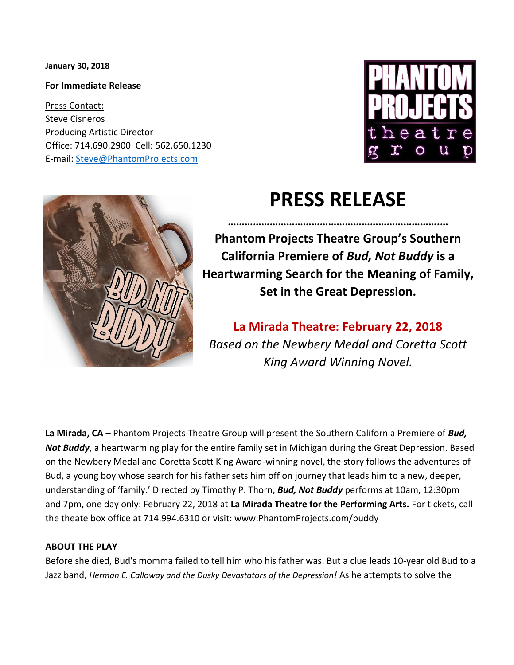**January 30, 2018**

**For Immediate Release**

Press Contact: Steve Cisneros Producing Artistic Director Office: 714.690.2900 Cell: 562.650.1230 E-mail: [Steve@PhantomProjects.com](mailto:Steve@PhantomProjects.com)





# **PRESS RELEASE**

**………………………………………………………………….… Phantom Projects Theatre Group's Southern California Premiere of** *Bud, Not Buddy* **is a Heartwarming Search for the Meaning of Family, Set in the Great Depression.**

**La Mirada Theatre: February 22, 2018** *Based on the Newbery Medal and Coretta Scott King Award Winning Novel.*

**La Mirada, CA** – Phantom Projects Theatre Group will present the Southern California Premiere of *Bud, Not Buddy*, a heartwarming play for the entire family set in Michigan during the Great Depression. Based on the Newbery Medal and Coretta Scott King Award-winning novel, the story follows the adventures of Bud, a young boy whose search for his father sets him off on journey that leads him to a new, deeper, understanding of 'family.' Directed by Timothy P. Thorn, *Bud, Not Buddy* performs at 10am, 12:30pm and 7pm, one day only: February 22, 2018 at **La Mirada Theatre for the Performing Arts.** For tickets, call the theate box office at 714.994.6310 or visit: www.PhantomProjects.com/buddy

#### **ABOUT THE PLAY**

Before she died, Bud's momma failed to tell him who his father was. But a clue leads 10-year old Bud to a Jazz band, *Herman E. Calloway and the Dusky Devastators of the Depression!* As he attempts to solve the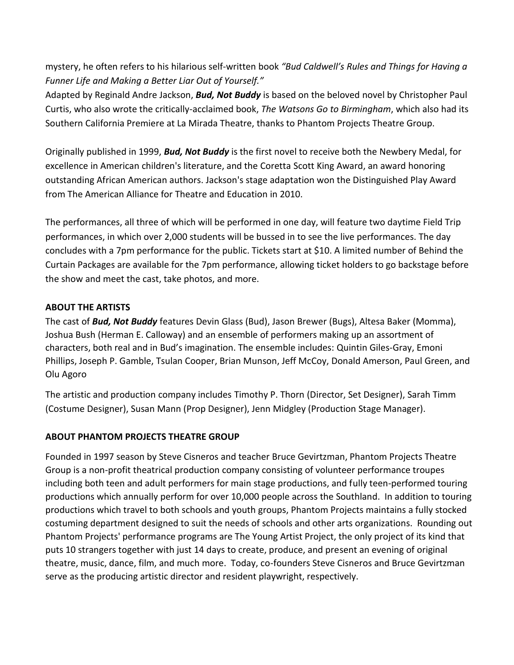mystery, he often refers to his hilarious self-written book *"Bud Caldwell's Rules and Things for Having a Funner Life and Making a Better Liar Out of Yourself."*

Adapted by Reginald Andre Jackson, *Bud, Not Buddy* is based on the beloved novel by Christopher Paul Curtis, who also wrote the critically-acclaimed book, *The Watsons Go to Birmingham*, which also had its Southern California Premiere at La Mirada Theatre, thanks to Phantom Projects Theatre Group.

Originally published in 1999, *Bud, Not Buddy* is the first novel to receive both the Newbery Medal, for excellence in American children's literature, and the Coretta Scott King Award, an award honoring outstanding African American authors. Jackson's stage adaptation won the Distinguished Play Award from The American Alliance for Theatre and Education in 2010.

The performances, all three of which will be performed in one day, will feature two daytime Field Trip performances, in which over 2,000 students will be bussed in to see the live performances. The day concludes with a 7pm performance for the public. Tickets start at \$10. A limited number of Behind the Curtain Packages are available for the 7pm performance, allowing ticket holders to go backstage before the show and meet the cast, take photos, and more.

### **ABOUT THE ARTISTS**

The cast of *Bud, Not Buddy* features Devin Glass (Bud), Jason Brewer (Bugs), Altesa Baker (Momma), Joshua Bush (Herman E. Calloway) and an ensemble of performers making up an assortment of characters, both real and in Bud's imagination. The ensemble includes: Quintin Giles-Gray, Emoni Phillips, Joseph P. Gamble, Tsulan Cooper, Brian Munson, Jeff McCoy, Donald Amerson, Paul Green, and Olu Agoro

The artistic and production company includes Timothy P. Thorn (Director, Set Designer), Sarah Timm (Costume Designer), Susan Mann (Prop Designer), Jenn Midgley (Production Stage Manager).

## **ABOUT PHANTOM PROJECTS THEATRE GROUP**

Founded in 1997 season by Steve Cisneros and teacher Bruce Gevirtzman, Phantom Projects Theatre Group is a non-profit theatrical production company consisting of volunteer performance troupes including both teen and adult performers for main stage productions, and fully teen-performed touring productions which annually perform for over 10,000 people across the Southland. In addition to touring productions which travel to both schools and youth groups, Phantom Projects maintains a fully stocked costuming department designed to suit the needs of schools and other arts organizations. Rounding out Phantom Projects' performance programs are The Young Artist Project, the only project of its kind that puts 10 strangers together with just 14 days to create, produce, and present an evening of original theatre, music, dance, film, and much more. Today, co-founders Steve Cisneros and Bruce Gevirtzman serve as the producing artistic director and resident playwright, respectively.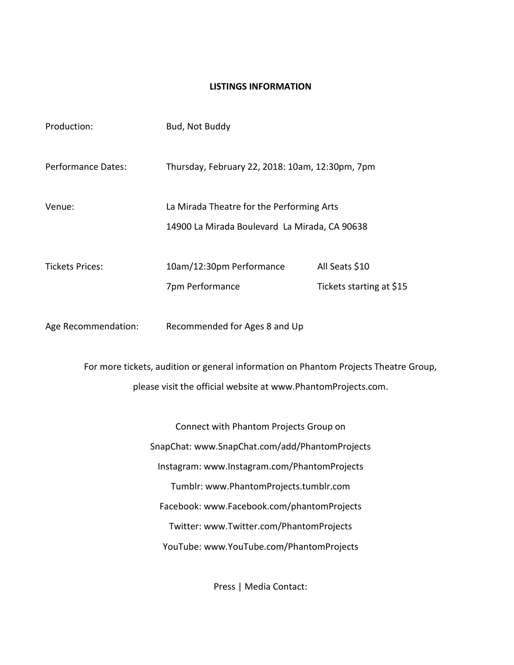#### **LISTINGS INFORMATION**

| Production:                                                                          | Bud, Not Buddy                                  |                          |
|--------------------------------------------------------------------------------------|-------------------------------------------------|--------------------------|
| <b>Performance Dates:</b>                                                            | Thursday, February 22, 2018: 10am, 12:30pm, 7pm |                          |
| Venue:                                                                               | La Mirada Theatre for the Performing Arts       |                          |
|                                                                                      | 14900 La Mirada Boulevard La Mirada, CA 90638   |                          |
| <b>Tickets Prices:</b>                                                               | 10am/12:30pm Performance                        | All Seats \$10           |
|                                                                                      | 7pm Performance                                 | Tickets starting at \$15 |
| Age Recommendation:                                                                  | Recommended for Ages 8 and Up                   |                          |
| For more tickets, audition or general information on Phantom Projects Theatre Group, |                                                 |                          |
| please visit the official website at www.PhantomProjects.com.                        |                                                 |                          |
| Connect with Phantom Projects Group on                                               |                                                 |                          |
| SnapChat: www.SnapChat.com/add/PhantomProjects                                       |                                                 |                          |
| Instagram: www.Instagram.com/PhantomProjects                                         |                                                 |                          |
| Tumblr: www.PhantomProjects.tumblr.com                                               |                                                 |                          |

Facebook: [www.Facebook.com/phantomProjects](http://www.facebook.com/phantomprojects)

Twitter: [www.Twitter.com/PhantomProjects](http://www.twitter.com/phantomprojects)

YouTube: [www.YouTube.com/PhantomProjects](http://www.youtube.com/PhantomProjects)

Press | Media Contact: